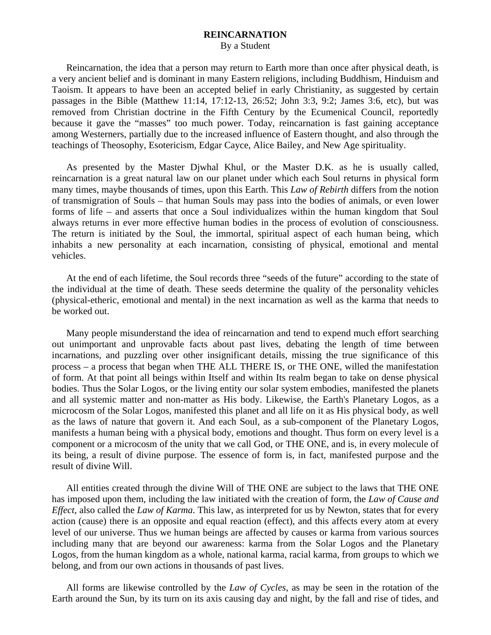## **REINCARNATION**  By a Student

 Reincarnation, the idea that a person may return to Earth more than once after physical death, is a very ancient belief and is dominant in many Eastern religions, including Buddhism, Hinduism and Taoism. It appears to have been an accepted belief in early Christianity, as suggested by certain passages in the Bible (Matthew 11:14, 17:12-13, 26:52; John 3:3, 9:2; James 3:6, etc), but was removed from Christian doctrine in the Fifth Century by the Ecumenical Council, reportedly because it gave the "masses" too much power. Today, reincarnation is fast gaining acceptance among Westerners, partially due to the increased influence of Eastern thought, and also through the teachings of Theosophy, Esotericism, Edgar Cayce, Alice Bailey, and New Age spirituality.

 As presented by the Master Djwhal Khul, or the Master D.K. as he is usually called, reincarnation is a great natural law on our planet under which each Soul returns in physical form many times, maybe thousands of times, upon this Earth. This *Law of Rebirth* differs from the notion of transmigration of Souls – that human Souls may pass into the bodies of animals, or even lower forms of life – and asserts that once a Soul individualizes within the human kingdom that Soul always returns in ever more effective human bodies in the process of evolution of consciousness. The return is initiated by the Soul, the immortal, spiritual aspect of each human being, which inhabits a new personality at each incarnation, consisting of physical, emotional and mental vehicles.

 At the end of each lifetime, the Soul records three "seeds of the future" according to the state of the individual at the time of death. These seeds determine the quality of the personality vehicles (physical-etheric, emotional and mental) in the next incarnation as well as the karma that needs to be worked out.

 Many people misunderstand the idea of reincarnation and tend to expend much effort searching out unimportant and unprovable facts about past lives, debating the length of time between incarnations, and puzzling over other insignificant details, missing the true significance of this process – a process that began when THE ALL THERE IS, or THE ONE, willed the manifestation of form. At that point all beings within Itself and within Its realm began to take on dense physical bodies. Thus the Solar Logos, or the living entity our solar system embodies, manifested the planets and all systemic matter and non-matter as His body. Likewise, the Earth's Planetary Logos, as a microcosm of the Solar Logos, manifested this planet and all life on it as His physical body, as well as the laws of nature that govern it. And each Soul, as a sub-component of the Planetary Logos, manifests a human being with a physical body, emotions and thought. Thus form on every level is a component or a microcosm of the unity that we call God, or THE ONE, and is, in every molecule of its being, a result of divine purpose. The essence of form is, in fact, manifested purpose and the result of divine Will.

 All entities created through the divine Will of THE ONE are subject to the laws that THE ONE has imposed upon them, including the law initiated with the creation of form, the *Law of Cause and Effect*, also called the *Law of Karma*. This law, as interpreted for us by Newton, states that for every action (cause) there is an opposite and equal reaction (effect), and this affects every atom at every level of our universe. Thus we human beings are affected by causes or karma from various sources including many that are beyond our awareness: karma from the Solar Logos and the Planetary Logos, from the human kingdom as a whole, national karma, racial karma, from groups to which we belong, and from our own actions in thousands of past lives.

 All forms are likewise controlled by the *Law of Cycles*, as may be seen in the rotation of the Earth around the Sun, by its turn on its axis causing day and night, by the fall and rise of tides, and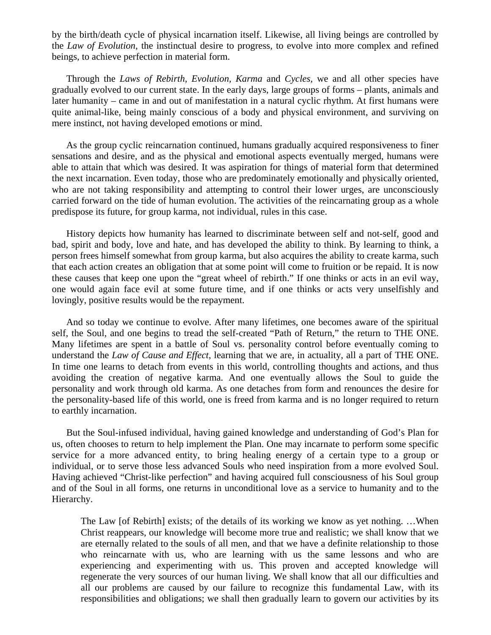by the birth/death cycle of physical incarnation itself. Likewise, all living beings are controlled by the *Law of Evolution*, the instinctual desire to progress, to evolve into more complex and refined beings, to achieve perfection in material form.

 Through the *Laws of Rebirth, Evolution, Karma* and *Cycles,* we and all other species have gradually evolved to our current state. In the early days, large groups of forms – plants, animals and later humanity – came in and out of manifestation in a natural cyclic rhythm. At first humans were quite animal-like, being mainly conscious of a body and physical environment, and surviving on mere instinct, not having developed emotions or mind.

 As the group cyclic reincarnation continued, humans gradually acquired responsiveness to finer sensations and desire, and as the physical and emotional aspects eventually merged, humans were able to attain that which was desired. It was aspiration for things of material form that determined the next incarnation. Even today, those who are predominately emotionally and physically oriented, who are not taking responsibility and attempting to control their lower urges, are unconsciously carried forward on the tide of human evolution. The activities of the reincarnating group as a whole predispose its future, for group karma, not individual, rules in this case.

 History depicts how humanity has learned to discriminate between self and not-self, good and bad, spirit and body, love and hate, and has developed the ability to think. By learning to think, a person frees himself somewhat from group karma, but also acquires the ability to create karma, such that each action creates an obligation that at some point will come to fruition or be repaid. It is now these causes that keep one upon the "great wheel of rebirth." If one thinks or acts in an evil way, one would again face evil at some future time, and if one thinks or acts very unselfishly and lovingly, positive results would be the repayment.

 And so today we continue to evolve. After many lifetimes, one becomes aware of the spiritual self, the Soul, and one begins to tread the self-created "Path of Return," the return to THE ONE. Many lifetimes are spent in a battle of Soul vs. personality control before eventually coming to understand the *Law of Cause and Effect*, learning that we are, in actuality, all a part of THE ONE. In time one learns to detach from events in this world, controlling thoughts and actions, and thus avoiding the creation of negative karma. And one eventually allows the Soul to guide the personality and work through old karma. As one detaches from form and renounces the desire for the personality-based life of this world, one is freed from karma and is no longer required to return to earthly incarnation.

 But the Soul-infused individual, having gained knowledge and understanding of God's Plan for us, often chooses to return to help implement the Plan. One may incarnate to perform some specific service for a more advanced entity, to bring healing energy of a certain type to a group or individual, or to serve those less advanced Souls who need inspiration from a more evolved Soul. Having achieved "Christ-like perfection" and having acquired full consciousness of his Soul group and of the Soul in all forms, one returns in unconditional love as a service to humanity and to the Hierarchy.

The Law [of Rebirth] exists; of the details of its working we know as yet nothing. …When Christ reappears, our knowledge will become more true and realistic; we shall know that we are eternally related to the souls of all men, and that we have a definite relationship to those who reincarnate with us, who are learning with us the same lessons and who are experiencing and experimenting with us. This proven and accepted knowledge will regenerate the very sources of our human living. We shall know that all our difficulties and all our problems are caused by our failure to recognize this fundamental Law, with its responsibilities and obligations; we shall then gradually learn to govern our activities by its